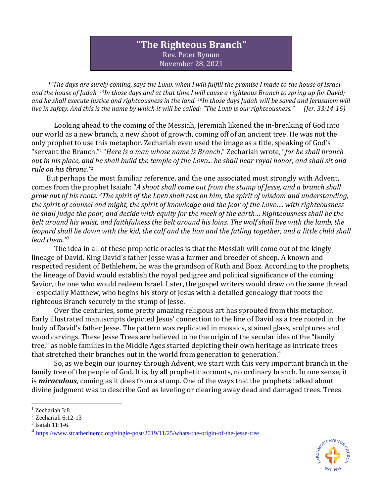## **"The Righteous Branch"** Rev. Peter Bynum November 28, 2021

*<sup>14</sup>The days are surely coming, says the LORD, when I will fulfill the promise I made to the house of Israel and the house of Judah. <sup>15</sup>In those days and at that time I will cause a righteous Branch to spring up for David; and he shall execute justice and righteousness in the land. <sup>16</sup>In those days Judah will be saved and Jerusalem will live in safety. And this is the name by which it will be called: "The LORD is our righteousness." (Jer. 33:14-16)*

Looking ahead to the coming of the Messiah, Jeremiah likened the in-breaking of God into our world as a new branch, a new shoot of growth, coming off of an ancient tree. He was not the only prophet to use this metaphor. Zechariah even used the image as a title, speaking of God's "servant the Branch."<sup>1</sup> "*Here is a man whose name is Branch*," Zechariah wrote, "*for he shall branch out in his place, and he shall build the temple of the LORD... he shall bear royal honor, and shall sit and rule on his throne."* 2

But perhaps the most familiar reference, and the one associated most strongly with Advent, comes from the prophet Isaiah: "*A shoot shall come out from the stump of Jesse, and a branch shall grow out of his roots. <sup>2</sup>The spirit of the LORD shall rest on him, the spirit of wisdom and understanding, the spirit of counsel and might, the spirit of knowledge and the fear of the LORD…. with righteousness he shall judge the poor, and decide with equity for the meek of the earth… Righteousness shall be the belt around his waist, and faithfulness the belt around his loins. The wolf shall live with the lamb, the leopard shall lie down with the kid, the calf and the lion and the fatling together, and a little child shall lead them."<sup>3</sup>*

The idea in all of these prophetic oracles is that the Messiah will come out of the kingly lineage of David. King David's father Jesse was a farmer and breeder of sheep. A known and respected resident of Bethlehem, he was the grandson of Ruth and Boaz. According to the prophets, the lineage of David would establish the royal pedigree and political significance of the coming Savior, the one who would redeem Israel. Later, the gospel writers would draw on the same thread – especially Matthew, who begins his story of Jesus with a detailed genealogy that roots the righteous Branch securely to the stump of Jesse.

Over the centuries, some pretty amazing religious art has sprouted from this metaphor. Early illustrated manuscripts depicted Jesus' connection to the line of David as a tree rooted in the body of David's father Jesse. The pattern was replicated in mosaics, stained glass, sculptures and wood carvings. These Jesse Trees are believed to be the origin of the secular idea of the "family tree," as noble families in the Middle Ages started depicting their own heritage as intricate trees that stretched their branches out in the world from generation to generation.<sup>4</sup>

So, as we begin our journey through Advent, we start with this very important branch in the family tree of the people of God. It is, by all prophetic accounts, no ordinary branch. In one sense, it is *miraculous*, coming as it does from a stump. One of the ways that the prophets talked about divine judgment was to describe God as leveling or clearing away dead and damaged trees. Trees



<sup>1</sup> Zechariah 3:8.

<sup>2</sup> Zechariah 6:12-13

<sup>3</sup> Isaiah 11:1-6.

<sup>4</sup> <https://www.stcatherinercc.org/single-post/2019/11/25/whats-the-origin-of-the-jesse-tree>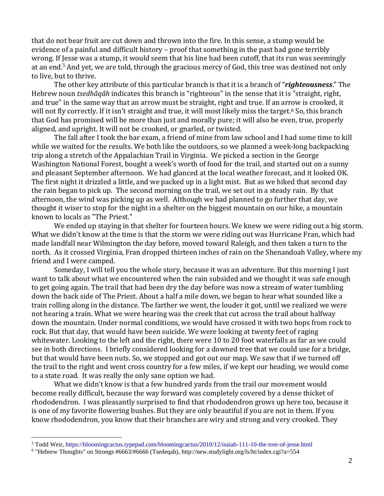that do not bear fruit are cut down and thrown into the fire. In this sense, a stump would be evidence of a painful and difficult history – proof that something in the past had gone terribly wrong. If Jesse was a stump, it would seem that his line had been cutoff, that its run was seemingly at an end.<sup>5</sup> And yet, we are told, through the gracious mercy of God, this tree was destined not only to live, but to thrive.

The other key attribute of this particular branch is that it is a branch of "*righteousness*." The Hebrew noun *tsedhâqâh* indicates this branch is "righteous" in the sense that it is "straight, right, and true" in the same way that an arrow must be straight, right and true. If an arrow is crooked, it will not fly correctly. If it isn't straight and true, it will most likely miss the target.<sup>6</sup> So, this branch that God has promised will be more than just and morally pure; it will also be even, true, properly aligned, and upright. It will not be crooked, or gnarled, or twisted.

The fall after I took the bar exam, a friend of mine from law school and I had some time to kill while we waited for the results. We both like the outdoors, so we planned a week-long backpacking trip along a stretch of the Appalachian Trail in Virginia. We picked a section in the George Washington National Forest, bought a week's worth of food for the trail, and started out on a sunny and pleasant September afternoon. We had glanced at the local weather forecast, and it looked OK. The first night it drizzled a little, and we packed up in a light mist. But as we hiked that second day the rain began to pick up. The second morning on the trail, we set out in a steady rain. By that afternoon, the wind was picking up as well. Although we had planned to go further that day, we thought it wiser to stop for the night in a shelter on the biggest mountain on our hike, a mountain known to locals as "The Priest."

We ended up staying in that shelter for fourteen hours. We knew we were riding out a big storm. What we didn't know at the time is that the storm we were riding out was Hurricane Fran, which had made landfall near Wilmington the day before, moved toward Raleigh, and then taken a turn to the north. As it crossed Virginia, Fran dropped thirteen inches of rain on the Shenandoah Valley, where my friend and I were camped.

Someday, I will tell you the whole story, because it was an adventure. But this morning I just want to talk about what we encountered when the rain subsided and we thought it was safe enough to get going again. The trail that had been dry the day before was now a stream of water tumbling down the back side of The Priest. About a half a mile down, we began to hear what sounded like a train rolling along in the distance. The farther we went, the louder it got, until we realized we were not hearing a train. What we were hearing was the creek that cut across the trail about halfway down the mountain. Under normal conditions, we would have crossed it with two hops from rock to rock. But that day, that would have been suicide. We were looking at twenty feet of raging whitewater. Looking to the left and the right, there were 10 to 20 foot waterfalls as far as we could see in both directions. I briefly considered looking for a downed tree that we could use for a bridge, but that would have been nuts. So, we stopped and got out our map. We saw that if we turned off the trail to the right and went cross country for a few miles, if we kept our heading, we would come to a state road. It was really the only sane option we had.

What we didn't know is that a few hundred yards from the trail our movement would become really difficult, because the way forward was completely covered by a dense thicket of rhododendron. I was pleasantly surprised to find that rhododendron grows up here too, because it is one of my favorite flowering bushes. But they are only beautiful if you are not in them. If you know rhododendron, you know that their branches are wiry and strong and very crooked. They

<sup>5</sup> Todd Weir[, https://bloomingcactus.typepad.com/bloomingcactus/2010/12/isaiah-111-10-the-tree-of-jesse.html](https://bloomingcactus.typepad.com/bloomingcactus/2010/12/isaiah-111-10-the-tree-of-jesse.html)

<sup>6</sup> "Hebrew Thoughts" on Strongs #6663/#6666 (Tsedeqah), http://new.studylight.org/ls/ht/index.cgi?a=554